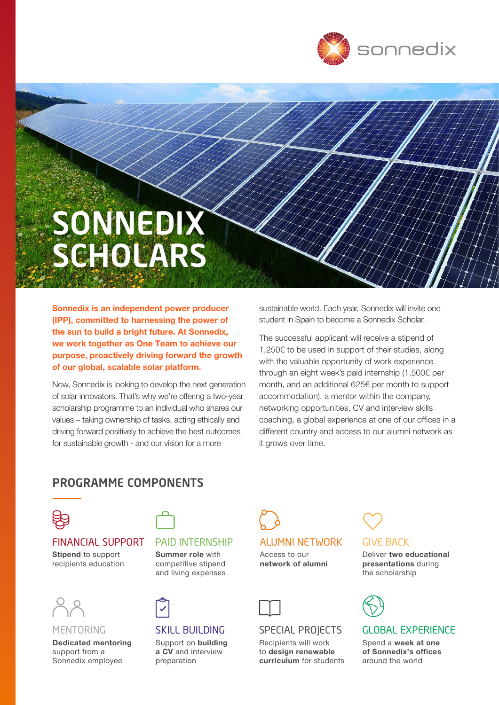

# SONNEDIX SCHOLARS

Sonnedix is an independent power producer (IPP), committed to harnessing the power of the sun to build a bright future. At Sonnedix, we work together as One Team to achieve our purpose, proactively driving forward the growth of our global, scalable solar platform.

Now, Sonnedix is looking to develop the next generation of solar innovators. That's why we're offering a two-year scholarship programme to an individual who shares our values – taking ownership of tasks, acting ethically and driving forward positively to achieve the best outcomes for sustainable growth - and our vision for a more

sustainable world. Each year, Sonnedix will invite one student in Spain to become a Sonnedix Scholar.

The successful applicant will receive a stipend of 1,250€ to be used in support of their studies, along with the valuable opportunity of work experience through an eight week's paid internship (1,500€ per month, and an additional 625€ per month to support accommodation), a mentor within the company, networking opportunities, CV and interview skills coaching, a global experience at one of our offices in a different country and access to our alumni network as it grows over time.

# PROGRAMME COMPONENTS



#### FINANCIAL SUPPORT

Stipend to support recipients education



#### MENTORING

Dedicated mentoring support from a Sonnedix employee



#### PAID INTERNSHIP

Summer role with competitive stipend and living expenses



## SKILL BUILDING

Support on building a CV and interview preparation

# ALUMNI NETWORK Access to our network of alumni



### SPECIAL PROJECTS

Recipients will work to design renewable curriculum for students

# GIVE BACK

Deliver two educational presentations during the scholarship



#### GLOBAL EXPERIENCE

Spend a week at one of Sonnedix's offices around the world